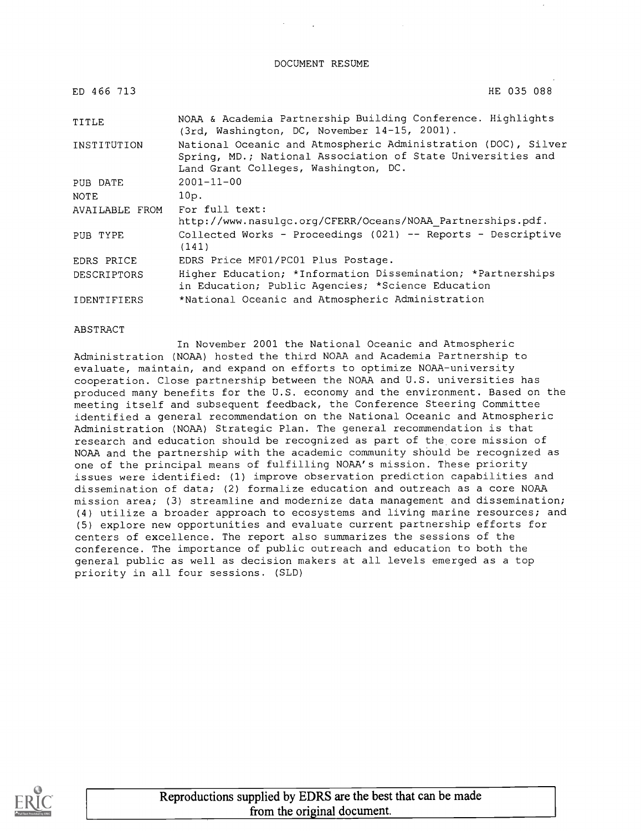DOCUMENT RESUME

| ED 466 713         | HE 035 088                                                                                                                                                           |  |  |  |  |  |  |  |
|--------------------|----------------------------------------------------------------------------------------------------------------------------------------------------------------------|--|--|--|--|--|--|--|
| TITLE              | NOAA & Academia Partnership Building Conference. Highlights<br>(3rd, Washington, DC, November 14-15, 2001).                                                          |  |  |  |  |  |  |  |
| INSTITUTION        | National Oceanic and Atmospheric Administration (DOC), Silver<br>Spring, MD.; National Association of State Universities and<br>Land Grant Colleges, Washington, DC. |  |  |  |  |  |  |  |
| PUB DATE           | $2001 - 11 - 00$                                                                                                                                                     |  |  |  |  |  |  |  |
| <b>NOTE</b>        | 10p.                                                                                                                                                                 |  |  |  |  |  |  |  |
| AVAILABLE FROM     | For full text:<br>http://www.nasulgc.org/CFERR/Oceans/NOAA Partnerships.pdf.                                                                                         |  |  |  |  |  |  |  |
| PUB TYPE           | Collected Works - Proceedings (021) -- Reports - Descriptive<br>(141)                                                                                                |  |  |  |  |  |  |  |
| EDRS PRICE         | EDRS Price MF01/PC01 Plus Postage.                                                                                                                                   |  |  |  |  |  |  |  |
| <b>DESCRIPTORS</b> | Higher Education; *Information Dissemination; *Partnerships<br>in Education; Public Agencies; *Science Education                                                     |  |  |  |  |  |  |  |
| <b>IDENTIFIERS</b> | *National Oceanic and Atmospheric Administration                                                                                                                     |  |  |  |  |  |  |  |

ABSTRACT

In November 2001 the National Oceanic and Atmospheric Administration (NOAA) hosted the third NOAA and Academia Partnership to evaluate, maintain, and expand on efforts to optimize NOAA-university cooperation. Close partnership between the NOAA and U.S. universities has produced many benefits for the U.S. economy and the environment. Based on the meeting itself and subsequent feedback, the Conference Steering Committee identified a general recommendation on the National Oceanic and Atmospheric Administration (NOAA) Strategic Plan. The general recommendation is that research and education should be recognized as part of the core mission of NOAA and the partnership with the academic community should be recognized as one of the principal means of fulfilling NOAA's mission. These priority issues were identified: (1) improve observation prediction capabilities and dissemination of data; (2) formalize education and outreach as a core NOAA mission area; (3) streamline and modernize data management and dissemination; (4) utilize a broader approach to ecosystems and living marine resources; and (5) explore new opportunities and evaluate current partnership efforts for centers of excellence. The report also summarizes the sessions of the conference. The importance of public outreach and education to both the general public as well as decision makers at all levels emerged as a top priority in all four sessions. (SLD)

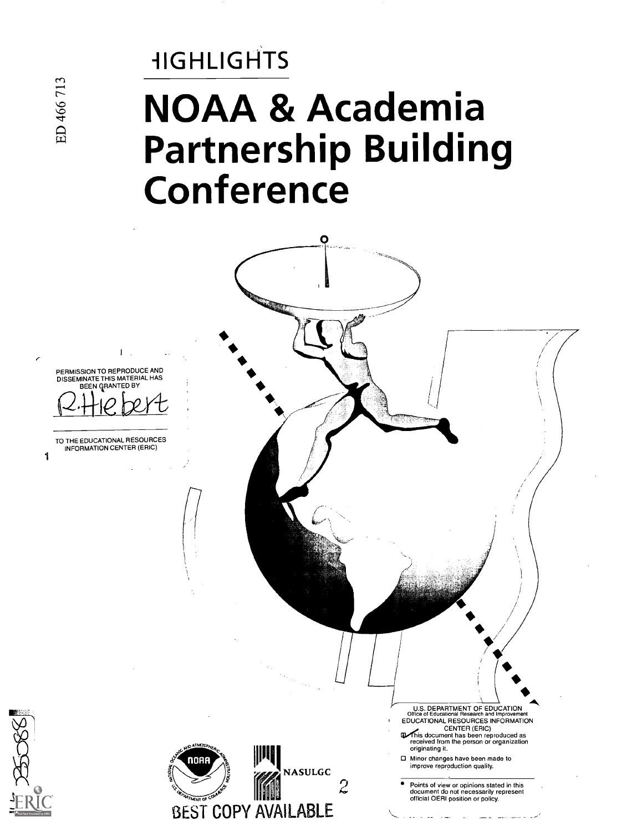# **HIGHLIGHTS** NOAA & Academia Partnership Building Conference



ED 466 713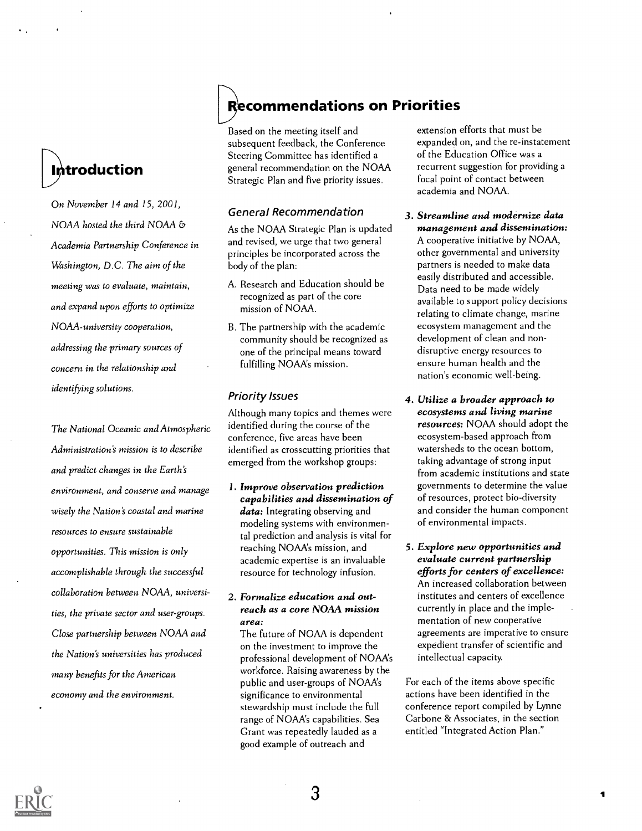## **Introduction**

On November 14 and 15, 2001, NOAA hosted the third NOAA & Academia Partnership Conference in Washington, D.C. The aim of the meeting was to evaluate, maintain, and expand upon efforts to optimize NOAA-university cooperation, addressing the primary sources of concern in the relationship and identifying solutions.

The National Oceanic and Atmospheric Administration's mission is to describe and predict changes in the Earth's environment, and conserve and manage wisely the Nation's coastal and marine resources to ensure sustainable opportunities. This mission is only accomplishable through the successful collaboration between NOAA, universities, the private sector and user-groups. Close partnership between NOAA and the Nation's universities has produced many benefits for the American economy and the environment.

## **Recommendations on Priorities**

Based on the meeting itself and subsequent feedback, the Conference Steering Committee has identified a general recommendation on the NOAA Strategic Plan and five priority issues.

#### General Recommendation

As the NOAA Strategic Plan is updated and revised, we urge that two general principles be incorporated across the body of the plan:

- A. Research and Education should be recognized as part of the core mission of NOAA.
- B. The partnership with the academic community should be recognized as one of the principal means toward fulfilling NOAA's mission.

#### Priority Issues

Although many topics and themes were identified during the course of the conference, five areas have been identified as crosscutting priorities that emerged from the workshop groups:

1. Improve observation prediction capabilities and dissemination of data: Integrating observing and modeling systems with environmental prediction and analysis is vital for reaching NOAA's mission, and academic expertise is an invaluable resource for technology infusion.

#### 2. Formalize education and outreach as a core NOAA mission area:

The future of NOAA is dependent on the investment to improve the professional development of NOAA's workforce. Raising awareness by the public and user-groups of NOAAs significance to environmental stewardship must include the full range of NOAA's capabilities. Sea Grant was repeatedly lauded as a good example of outreach and

extension efforts that must be expanded on, and the re-instatement of the Education Office was a recurrent suggestion for providing a focal point of contact between academia and NOAA.

- 3. Streamline and modernize data management and dissemination: A cooperative initiative by NOAA, other governmental and university partners is needed to make data easily distributed and accessible. Data need to be made widely available to support policy decisions relating to climate change, marine ecosystem management and the development of clean and nondisruptive energy resources to ensure human health and the nation's economic well-being.
- 4. Utilize a broader approach to ecosystems and living marine resources: NOAA should adopt the ecosystem-based approach from watersheds to the ocean bottom, taking advantage of strong input from academic institutions and state governments to determine the value of resources, protect bio-diversity and consider the human component of environmental impacts.
- 5. Explore new opportunities and evaluate current partnership efforts for centers of excellence: An increased collaboration between institutes and centers of excellence currently in place and the implementation of new cooperative agreements are imperative to ensure expedient transfer of scientific and intellectual capacity.

For each of the items above specific actions have been identified in the conference report compiled by Lynne Carbone & Associates, in the section entitled "Integrated Action Plan."

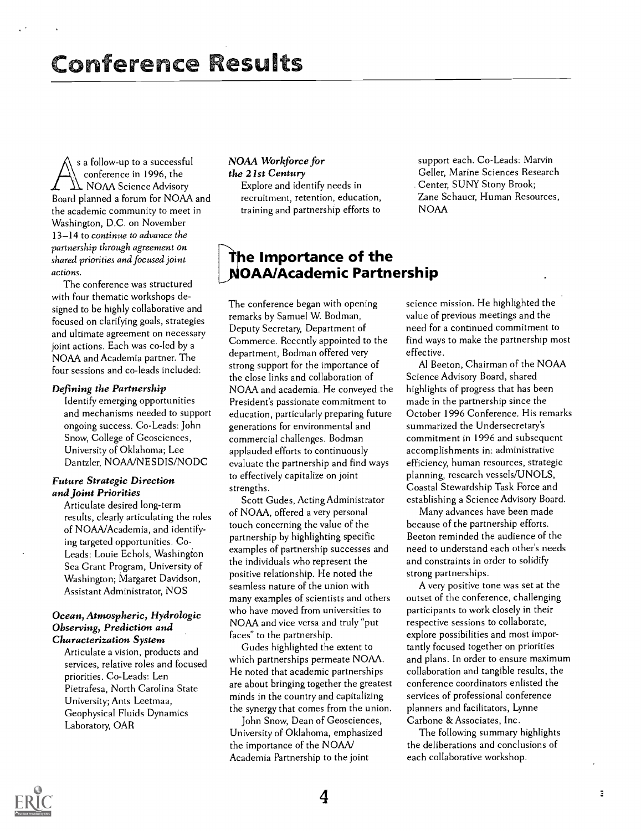s a follow-up to a successful NOAA Workforce for<br>
conference in 1996, the the 21st Century<br>
NOAA Science Advisory Explore and identify needs in<br>
Roard planned a forum for NOAA and recruitment. retention, education sa follow-up to a successful conference in 1996, the NOAA Science Advisory Board planned a forum for NOAA and the academic community to meet in Washington, D.C. on November 13-14 to continue to advance the partnership through agreement on shared priorities and focused joint actions.

The conference was structured with four thematic workshops designed to be highly collaborative and focused on clarifying goals, strategies and ultimate agreement on necessary joint actions. Each was co-led by a NOAA and Academia partner. The four sessions and co-leads included:

#### Defining the Partnership

Identify emerging opportunities and mechanisms needed to support ongoing success. Co-Leads: John Snow, College of Geosciences, University of Oklahoma; Lee Dantzler, NOAA/NESDIS/NODC

#### Future Strategic Direction and Joint Priorities

Articulate desired long-term results, clearly articulating the roles of NOAA/Academia, and identifying targeted opportunities. Co. Leads: Louie Echols, Washington Sea Grant Program, University of Washington; Margaret Davidson, Assistant Administrator, NOS

#### Ocean, Atmospheric, Hydrologic Observing, Prediction and Characterization System

Articulate a vision, products and services, relative roles and focused priorities. Co-Leads: Len Pietrafesa, North Carolina State University; Ants Leetmaa, Geophysical Fluids Dynamics Laboratory, OAR

#### NOAA Workforce for the 21st Century

Explore and identify needs in recruitment, retention, education, training and partnership efforts to

support each. Co-Leads: Marvin Geller, Marine Sciences Research . Center, SUNY Stony Brook; Zane Schauer, Human Resources, NOAA

#### he Importance of the OAA/Academic Partnership

The conference began with opening remarks by Samuel W. Bodman, Deputy Secretary, Department of Commerce. Recently appointed to the department, Bodman offered very strong support for the importance of the close links and collaboration of NOAA and academia. He conveyed the President's passionate commitment to education, particularly preparing future generations for environmental and commercial challenges. Bodman applauded efforts to continuously evaluate the partnership and find ways to effectively capitalize on joint strengths.

Scott Gudes, Acting Administrator of NOAA, offered a very personal touch concerning the value of the partnership by highlighting specific examples of partnership successes and the individuals who represent the positive relationship. He noted the seamless nature of the union with many examples of scientists and others who have moved from universities to NOAA and vice versa and truly "put faces" to the partnership.

Gudes highlighted the extent to which partnerships permeate NOAA. He noted that academic partnerships are about bringing together the greatest minds in the country and capitalizing the synergy that comes from the union.

John Snow, Dean of Geosciences, University of Oklahoma, emphasized the importance of the NOAA/ Academia Partnership to the joint

science mission. He highlighted the value of previous meetings and the need for a continued commitment to find ways to make the partnership most effective.

Al Beeton, Chairman of the NOAA Science Advisory Board, shared highlights of progress that has been made in the partnership since the October 1996 Conference. His remarks summarized the Undersecretary's commitment in 1996 and subsequent accomplishments in: administrative efficiency, human resources, strategic planning, research vessels/UNOLS, Coastal Stewardship Task Force and establishing a Science Advisory Board.

Many advances have been made because of the partnership efforts. Beeton reminded the audience of the need to understand each other's needs and constraints in order to solidify strong partnerships.

A very positive tone was set at the outset of the conference, challenging participants to work closely in their respective sessions to collaborate, explore possibilities and most importantly focused together on priorities and plans. In order to ensure maximum collaboration and tangible results, the conference coordinators enlisted the services of professional conference planners and facilitators, Lynne Carbone & Associates, Inc.

The following summary highlights the deliberations and conclusions of each collaborative workshop.

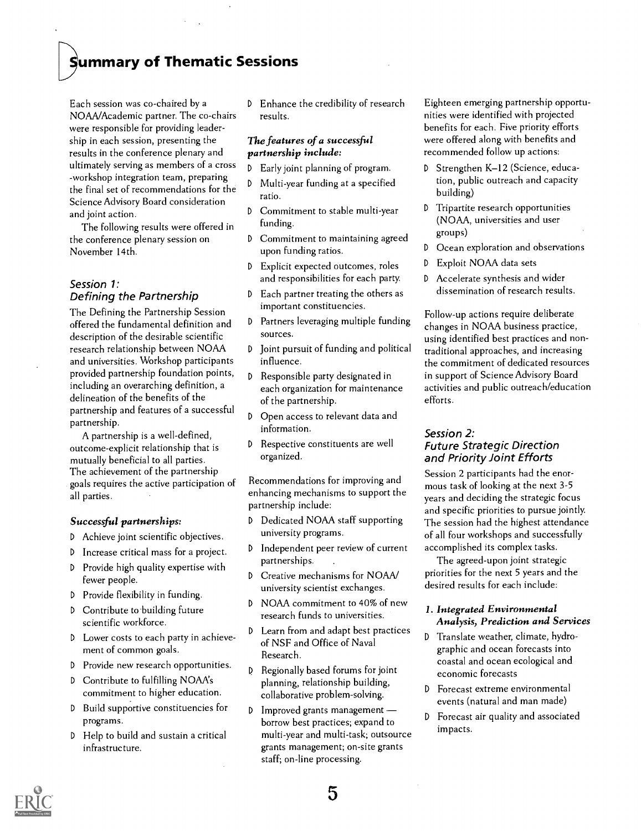### )ummary of Thematic Sessions

Each session was co-chaired by a NOAA/Academic partner. The co-chairs were responsible for providing leadership in each session, presenting the results in the conference plenary and ultimately serving as members of a cross -workshop integration team, preparing the final set of recommendations for the Science Advisory Board consideration and joint action.

The following results were offered in the conference plenary session on November 14th.

#### Session 1: Defining the Partnership  $\sqrt{d}$

The Defining the Partnership Session<br>offered the fundamental definition and P offered the fundamental definition and description of the desirable scientific research relationship between NOAA and universities. Workshop participants provided partnership foundation points, including an overarching definition, a delineation of the benefits of the partnership and features of a successful partnership.

A partnership is a well-defined, outcome-explicit relationship that is  $\mathbb{D}$ mutually beneficial to all parties. The achievement of the partnership goals requires the active participation of all parties.

#### Successful partnerships:

- D Achieve joint scientific objectives.
- <sup>D</sup> Increase critical mass for a project.
- $D$  Provide high quality expertise with  $D$ fewer people.
- <sup>D</sup> Provide flexibility in funding.
- <sup>D</sup> Contribute to building future scientific workforce.
- <sup>D</sup> Lower costs to each party in achievement of common goals.
- <sup>D</sup> Provide new research opportunities.
- <sup>D</sup> Contribute to fulfilling NOAA's commitment to higher education.
- <sup>D</sup> Build supportive constituencies for programs.
- <sup>D</sup> Help to build and sustain a critical infrastructure.

D Enhance the credibility of research results.

#### The features of a successful partnership include:

- <sup>D</sup> Early joint planning of program.
- <sup>D</sup> Multi-year funding at a specified ratio.
- Commitment to stable multi-year funding.
- D Commitment to maintaining agreed upon funding ratios.
- <sup>D</sup> Explicit expected outcomes, roles and responsibilities for each party.
- Each partner treating the others as important constituencies.
- Partners leveraging multiple funding sources.
- <sup>D</sup> Joint pursuit of funding and political influence.
- <sup>D</sup> Responsible party designated in each organization for maintenance of the partnership.
- D Open access to relevant data and information.
- Respective constituents are well organized.

Recommendations for improving and enhancing mechanisms to support the partnership include:

- D Dedicated NOAA staff supporting university programs.
- <sup>D</sup> Independent peer review of current partnerships.
- Creative mechanisms for NOAA/ university scientist exchanges.
- D NOAA commitment to 40% of new research funds to universities.
- <sup>D</sup> Learn from and adapt best practices of NSF and Office of Naval Research.
- <sup>D</sup> Regionally based forums for joint planning, relationship building, collaborative problem-solving.
- <sup>D</sup> Improved grants management borrow best practices; expand to multi-year and multi-task; outsource grants management; on-site grants staff; on-line processing.

Eighteen emerging partnership opportunities were identified with projected benefits for each. Five priority efforts were offered along with benefits and recommended follow up actions:

- D Strengthen K-12 (Science, education, public outreach and capacity building)
- <sup>D</sup> Tripartite research opportunities (NOAA, universities and user groups)
- D Ocean exploration and observations
- <sup>D</sup> Exploit NOAA data sets
- D Accelerate synthesis and wider dissemination of research results.

Follow-up actions require deliberate changes in NOAA business practice, using identified best practices and nontraditional approaches, and increasing the commitment of dedicated resources in support of Science Advisory Board activities and public outreach/education efforts.

#### Session 2: Future Strategic Direction and Priority Joint Efforts

Session 2 participants had the enormous task of looking at the next 3-5 years and deciding the strategic focus and specific priorities to pursue jointly. The session had the highest attendance of all four workshops and successfully accomplished its complex tasks.

The agreed-upon joint strategic priorities for the next 5 years and the desired results for each include:

#### 1. Integrated Environmental Analysis, Prediction and Services

- D Translate weather, climate, hydrographic and ocean forecasts into coastal and ocean ecological and economic forecasts
- <sup>D</sup> Forecast extreme environmental events (natural and man made)
- D Forecast air quality and associated impacts.

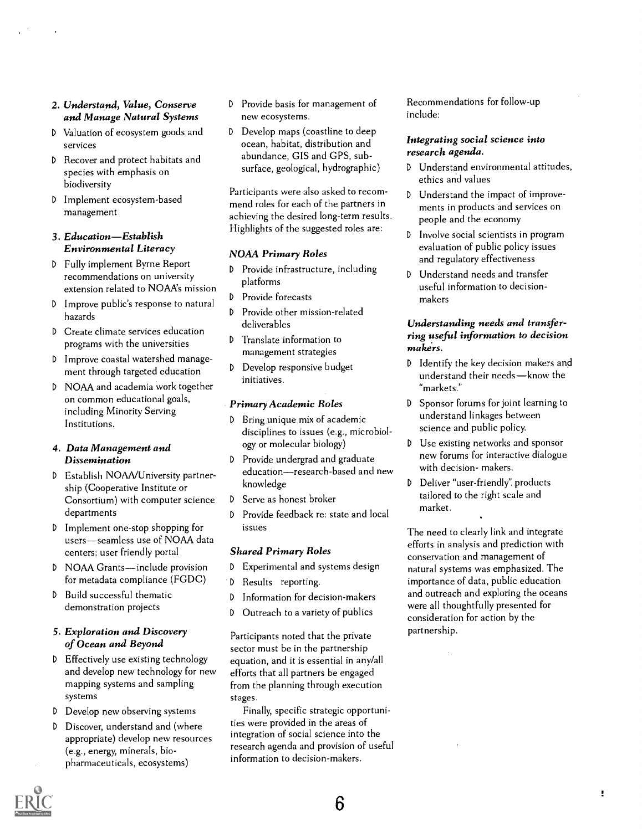#### 2. Understand, Value, Conserve and Manage Natural Systems

- D Valuation of ecosystem goods and D services
- <sup>D</sup> Recover and protect habitats and species with emphasis on biodiversity
- <sup>D</sup> Implement ecosystem-based management

#### 3. Education-Establish Environmental Literacy

- <sup>D</sup> Fully implement Byrne Report recommendations on university extension related to NOAA's mission
- D Improve public's response to natural  $\frac{b}{D}$ hazards
- <sup>D</sup> Create climate services education programs with the universities
- <sup>D</sup> Improve coastal watershed management through targeted education
- D NOAA and academia work together on common educational goals, including Minority Serving Institutions.

#### 4. Data Management and Dissemination

- <sup>D</sup> Establish NOAA/University partnership (Cooperative Institute or Consortium) with computer science  $D$ departments
- <sup>D</sup> Implement one-stop shopping for users-seamless use of NOAA data centers: user friendly portal
- D NOAA Grants-include provision for metadata compliance (FGDC)
- <sup>D</sup> Build successful thematic demonstration projects

#### 5. Exploration and Discovery of Ocean and Beyond

- <sup>D</sup> Effectively use existing technology and develop new technology for new mapping systems and sampling systems
- <sup>D</sup> Develop new observing systems
- <sup>D</sup> Discover, understand and (where appropriate) develop new resources (e.g., energy, minerals, biopharmaceuticals, ecosystems)
- <sup>D</sup> Provide basis for management of new ecosystems.
- Develop maps (coastline to deep ocean, habitat, distribution and abundance, GIS and GPS, subsurface, geological, hydrographic)  $D$

Participants were also asked to recommend roles for each of the partners in achieving the desired long-term results. Highlights of the suggested roles are:

#### NOAA Primary Roles

- <sup>D</sup> Provide infrastructure, including platforms
- Provide forecasts
- Provide other mission-related deliverables
- <sup>D</sup> Translate information to management strategies
- <sup>D</sup> Develop responsive budget initiatives.

#### Primary Academic Roles

- <sup>D</sup> Bring unique mix of academic disciplines to issues (e.g., microbiology or molecular biology)
- <sup>D</sup> Provide undergrad and graduate education—research-based and new<br>knowledge b knowledge
- Serve as honest broker
- <sup>D</sup> Provide feedback re: state and local issues

#### Shared Primary Roles

- <sup>D</sup> Experimental and systems design
- Results reporting.
- <sup>D</sup> Information for decision-makers
- <sup>D</sup> Outreach to a variety of publics

Participants noted that the private sector must be in the partnership equation, and it is essential in any/all efforts that all partners be engaged from the planning through execution stages.

Finally, specific strategic opportunities were provided in the areas of integration of social science into the research agenda and provision of useful information to decision-makers.

Recommendations for follow-up include:

#### Integrating social science into research agenda.

- Understand environmental attitudes, ethics and values
- <sup>D</sup> Understand the impact of improvements in products and services on people and the economy
- <sup>D</sup> Involve social scientists in program evaluation of public policy issues and regulatory effectiveness
- D Understand needs and transfer useful information to decisionmakers

#### Understanding needs and transferring useful information to decision makers.

- <sup>D</sup> Identify the key decision makers and understand their needs-know the "markets."
- D Sponsor forums for joint learning to understand linkages between science and public policy.
- D Use existing networks and sponsor new forums for interactive dialogue with decision- makers.
- Deliver "user-friendly" products tailored to the right scale and market.

The need to clearly link and integrate efforts in analysis and prediction with conservation and management of natural systems was emphasized. The importance of data, public education and outreach and exploring the oceans were all thoughtfully presented for consideration for action by the partnership.

ŧ

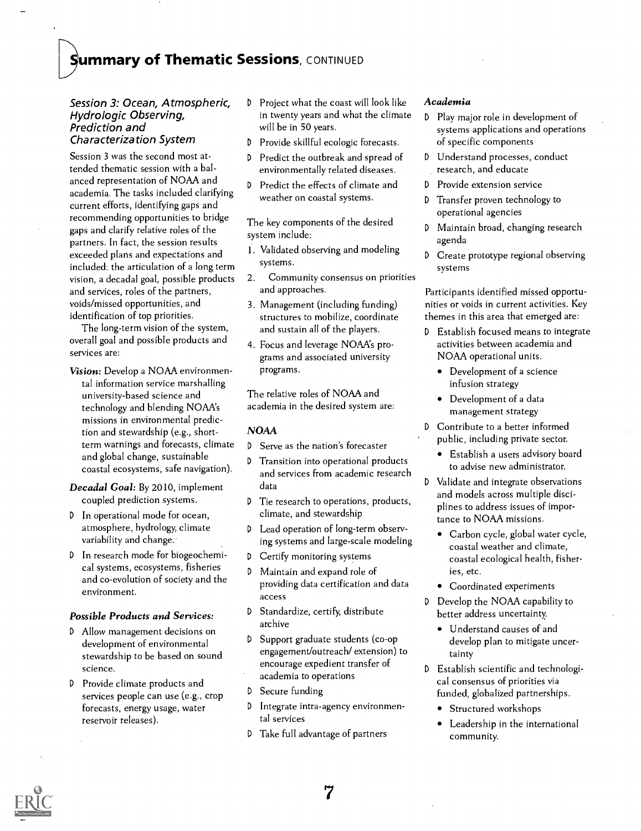### Summary of Thematic Sessions, CONTINUED

#### Session 3: Ocean, Atmospheric, Hydrologic Observing, Prediction and Characterization System

Session 3 was the second most attended thematic session with a balanced representation of NOAA and academia. The tasks included clarifying current efforts, identifying gaps and recommending opportunities to bridge gaps and clarify relative roles of the partners. In fact, the session results exceeded plans and expectations and included: the articulation of a long term vision, a decadal goal, possible products and services, roles of the partners, voids/missed opportunities, and identification of top priorities.

The long-term vision of the system, overall goal and possible products and services are:

Vision: Develop a NOAA environmental information service marshalling university-based science and technology and blending NOAAs missions in environmental prediction and stewardship (e.g., shortterm warnings and forecasts, climate and global change, sustainable coastal ecosystems, safe navigation).

Decadal Goal: By 2010, implement coupled prediction systems.

- <sup>D</sup> In operational mode for ocean, atmosphere, hydrology, climate variability and change.
- <sup>D</sup> In research mode for biogeochemical systems, ecosystems, fisheries and co-evolution of society and the environment.

#### Possible Products and Services:

- <sup>D</sup> Allow management decisions on development of environmental stewardship to be based on sound science.
- <sup>D</sup> Provide climate products and services people can use (e.g., crop forecasts, energy usage, water reservoir releases).
- <sup>D</sup> Project what the coast will look like in twenty years and what the climate will be in 50 years.
- <sup>D</sup> Provide skillful ecologic forecasts.
- <sup>D</sup> Predict the outbreak and spread of environmentally related diseases.
- <sup>D</sup> Predict the effects of climate and weather on coastal systems.

The key components of the desired system include:

- 1. Validated observing and modeling systems.
- 2. Community consensus on priorities and approaches.
- 3. Management (including funding) structures to mobilize, coordinate and sustain all of the players.
- 4. Focus and leverage NOAAs programs and associated university programs.

The relative roles of NOAA and academia in the desired system are:

#### NOAA

- <sup>D</sup> Serve as the nation's forecaster
- <sup>D</sup> Transition into operational products and services from academic research data
- <sup>D</sup> Tie research to operations, products, climate, and stewardship
- Lead operation of long-term observing systems and large-scale modeling
- <sup>D</sup> Certify monitoring systems
- Maintain and expand role of providing data certification and data access
- <sup>D</sup> Standardize, certify, distribute archive
- <sup>D</sup> Support graduate students (co-op engagement/outreach/ extension) to encourage expedient transfer of academia to operations
- <sup>D</sup> Secure funding
- <sup>D</sup> Integrate intra-agency environmental services
- D Take full advantage of partners

#### Academia

- <sup>D</sup> Play major role in development of systems applications and operations of specific components
- <sup>D</sup> Understand processes, conduct research, and educate
- <sup>D</sup> Provide extension service
- Transfer proven technology to operational agencies
- Maintain broad, changing research agenda
- Create prototype regional observing systems

Participants identified missed opportunities or voids in current activities. Key themes in this area that emerged are:

- <sup>D</sup> Establish focused means to integrate activities between academia and NOAA operational units.
	- Development of a science infusion strategy
	- Development of a data management strategy
- D Contribute to a better informed public, including private sector.
	- Establish a users advisory board to advise new administrator.
- D Validate and integrate observations and models across multiple disciplines to address issues of importance to NOAA missions.
	- Carbon cycle, global water cycle, coastal weather and climate, coastal ecological health, fisheries, etc.
	- Coordinated experiments
- <sup>D</sup> Develop the NOAA capability to better address uncertainty.
	- Understand causes of and develop plan to mitigate uncertainty
- <sup>D</sup> Establish scientific and technological consensus of priorities via funded, globalized partnerships.
	- Structured workshops
	- Leadership in the international community.

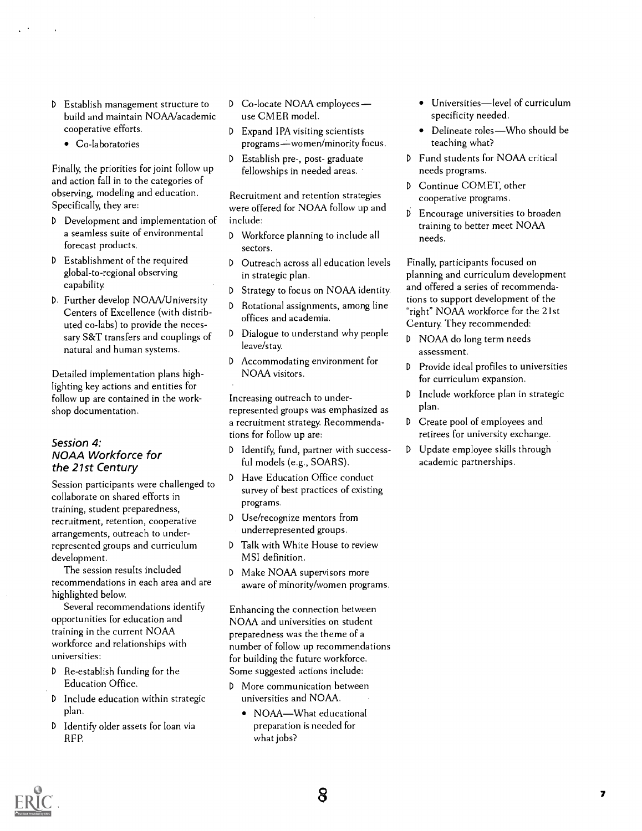- <sup>D</sup> Establish management structure to build and maintain NOAA/academic cooperative efforts.
	- Co-laboratories

Finally, the priorities for joint follow up and action fall in to the categories of observing, modeling and education. Specifically, they are:

- <sup>D</sup> Development and implementation of a seamless suite of environmental forecast products.
- D Establishment of the required D global-to-regional observing capability.
- D. Further develop NOAA/University Centers of Excellence (with distributed co-labs) to provide the necessary S&T transfers and couplings of  $\Box$ natural and human systems.

Detailed implementation plans highlighting key actions and entities for follow up are contained in the workshop documentation.

#### Session 4: NOAA Workforce for the 21st Century

Session participants were challenged to collaborate on shared efforts in training, student preparedness, recruitment, retention, cooperative arrangements, outreach to underrepresented groups and curriculum development.

The session results included recommendations in each area and are highlighted below.

Several recommendations identify opportunities for education and training in the current NOAA workforce and relationships with universities:

- <sup>D</sup> Re-establish funding for the Education Office.
- <sup>D</sup> Include education within strategic plan.
- <sup>D</sup> Identify older assets for loan via REP.
- <sup>D</sup> Co-locate NOAA employees use CMER model.
- <sup>D</sup> Expand IPA visiting scientists programs-women/minority focus.
- <sup>D</sup> Establish pre-, post- graduate fellowships in needed areas.

Recruitment and retention strategies were offered for NOAA follow up and include:

- <sup>D</sup> Workforce planning to include all sectors.
- Outreach across all education levels in strategic plan.
- <sup>D</sup> Strategy to focus on NOAA identity.
- Rotational assignments, among line offices and academia.
- Dialogue to understand why people leave/stay.
- D Accommodating environment for NOAA visitors.

Increasing outreach to underrepresented groups was emphasized as a recruitment strategy. Recommendations for follow up are:

- <sup>D</sup> Identify, fund, partner with successful models (e.g., SOARS).
- Have Education Office conduct survey of best practices of existing programs.
- <sup>D</sup> Use/recognize mentors from underrepresented groups.
- Talk with White House to review MSI definition.
- D Make NOAA supervisors more aware of minority/women programs.

Enhancing the connection between NOAA and universities on student preparedness was the theme of a number of follow up recommendations for building the future workforce. Some suggested actions include:

- D More communication between universities and NOAA.
	- NOAA-What educational preparation is needed for what jobs?
- Universities-level of curriculum specificity needed.
- Delineate roles-Who should be teaching what?
- D Fund students for NOAA critical needs programs.
- Continue COMET, other cooperative programs.
- <sup>D</sup> Encourage universities to broaden training to better meet NOAA needs.

Finally, participants focused on planning and curriculum development and offered a series of recommendations to support development of the "right" NOAA workforce for the 21st Century. They recommended:

- D NOAA do long term needs assessment.
- Provide ideal profiles to universities for curriculum expansion.
- <sup>D</sup> Include workforce plan in strategic plan.
- <sup>D</sup> Create pool of employees and retirees for university exchange.
- <sup>D</sup> Update employee skills through academic partnerships.

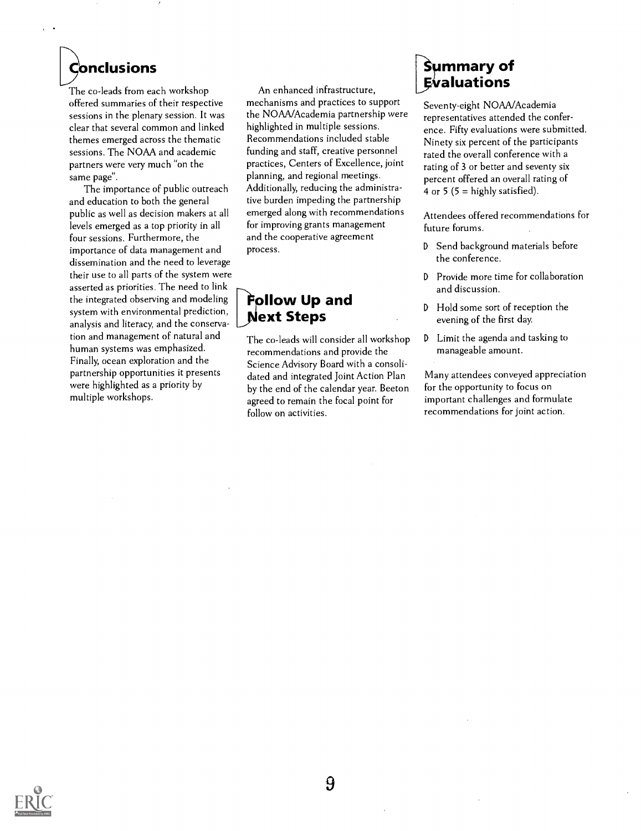## Conclusions

The co-leads from each workshop offered summaries of their respective sessions in the plenary session. It was clear that several common and linked themes emerged across the thematic sessions. The NOAA and academic partners were very much "on the same page".

The importance of public outreach and education to both the general public as well as decision makers at all levels emerged as a top priority in all four sessions. Furthermore, the importance of data management and dissemination and the need to leverage their use to all parts of the system were asserted as priorities. The need to link the integrated observing and modeling system with environmental prediction, analysis and literacy, and the conservation and management of natural and human systems was emphasized. Finally, ocean exploration and the partnership opportunities it presents were highlighted as a priority by multiple workshops.

An enhanced infrastructure, mechanisms and practices to support the NOAA/Academia partnership were highlighted in multiple sessions. Recommendations included stable funding and staff, creative personnel practices, Centers of Excellence, joint planning, and regional meetings. Additionally, reducing the administrative burden impeding the partnership emerged along with recommendations for improving grants management and the cooperative agreement process.

### $\mathbf{\hat{F}}$ ollow Up and **Next Steps**

The co-leads will consider all workshop recommendations and provide the Science Advisory Board with a consolidated and integrated Joint Action Plan by the end of the calendar year. Beeton agreed to remain the focal point for follow on activities.

### **Summary of Evaluations**

Seventy-eight NOAA/Academia representatives attended the conference. Fifty evaluations were submitted. Ninety six percent of the participants rated the overall conference with a rating of 3 or better and seventy six percent offered an overall rating of 4 or 5 ( $5 =$  highly satisfied).

Attendees offered recommendations for future forums.

- D Send background materials before the conference.
- <sup>D</sup> Provide more time for collaboration and discussion.
- Hold some sort of reception the evening of the first day.
- <sup>D</sup> Limit the agenda and tasking to manageable amount.

Many attendees conveyed appreciation for the opportunity to focus on important challenges and formulate recommendations for joint action.

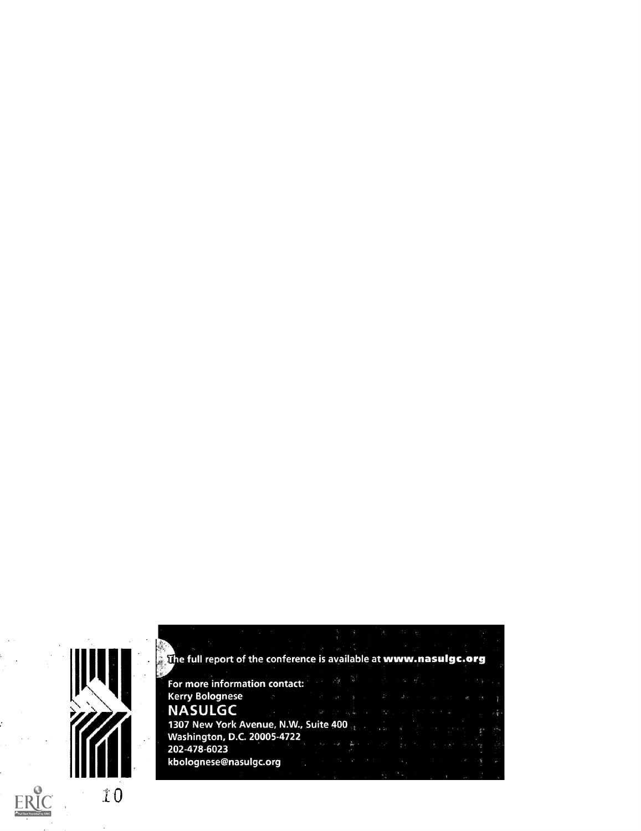

| For more information contact: The definition of the state of the state of     |                                                                                                                                                                                                                                 |  |  |                                                                                                                   |  |
|-------------------------------------------------------------------------------|---------------------------------------------------------------------------------------------------------------------------------------------------------------------------------------------------------------------------------|--|--|-------------------------------------------------------------------------------------------------------------------|--|
| Kerry Bolognese マーク・ディスタ あいあい スマーマン まいき                                       |                                                                                                                                                                                                                                 |  |  |                                                                                                                   |  |
| <b>NASULGC</b>                                                                | ေကာင္း ေဒသ အားေလးျပန္ခ်ာေန ေသာ္ေဒသမွတဲ့ အခ်ိန္းမွာ ေဒသသည္းမွဳေျပာ                                                                                                                                                               |  |  |                                                                                                                   |  |
| 1307 New York Avenue, N.W., Suite 400 and the contract of the contract of the |                                                                                                                                                                                                                                 |  |  |                                                                                                                   |  |
| Washington, D.C. 20005-4722                                                   |                                                                                                                                                                                                                                 |  |  |                                                                                                                   |  |
| 202-478-6023                                                                  | الموسَّمَانِ الحريمِ في الله التي يتم التي توسع الأسم التي يتم التي توسع التي يتم التي توسع التي توسع التي توسع<br>التي توسع التي توسع التي توسع التي توسع التي توسع التي توسع التي توسع التي توسع التي توسع التي توسع التي توس |  |  |                                                                                                                   |  |
|                                                                               |                                                                                                                                                                                                                                 |  |  |                                                                                                                   |  |
|                                                                               |                                                                                                                                                                                                                                 |  |  | and the second control of the second control of the second control of the second control of the second control of |  |